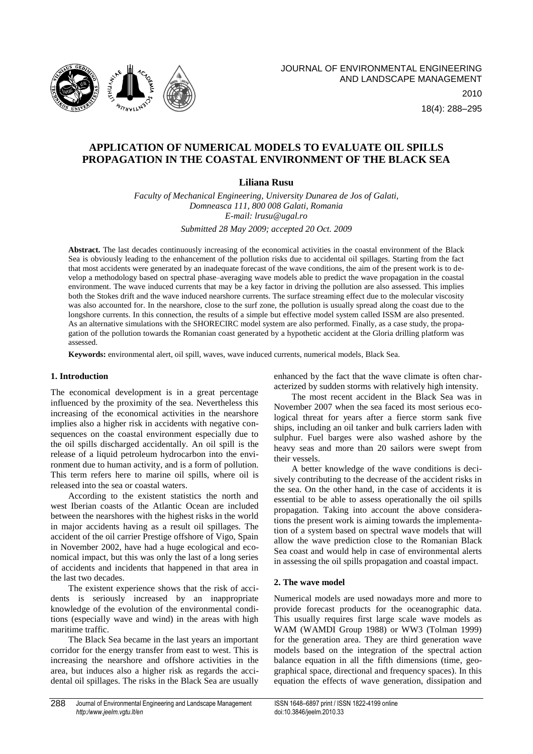

18(4): 288–295

# **APPLICATION OF NUMERICAL MODELS TO EVALUATE OIL SPILLS PROPAGATION IN THE COASTAL ENVIRONMENT OF THE BLACK SEA**

# **Liliana Rusu**

*Faculty of Mechanical Engineering, University Dunarea de Jos of Galati, Domneasca 111, 800 008 Galati, Romania E-mail: lrusu@ugal.ro*

*Submitted 28 May 2009; accepted 20 Oct. 2009*

**Abstract.** The last decades continuously increasing of the economical activities in the coastal environment of the Black Sea is obviously leading to the enhancement of the pollution risks due to accidental oil spillages. Starting from the fact that most accidents were generated by an inadequate forecast of the wave conditions, the aim of the present work is to develop a methodology based on spectral phase–averaging wave models able to predict the wave propagation in the coastal environment. The wave induced currents that may be a key factor in driving the pollution are also assessed. This implies both the Stokes drift and the wave induced nearshore currents. The surface streaming effect due to the molecular viscosity was also accounted for. In the nearshore, close to the surf zone, the pollution is usually spread along the coast due to the longshore currents. In this connection, the results of a simple but effective model system called ISSM are also presented. As an alternative simulations with the SHORECIRC model system are also performed. Finally, as a case study, the propagation of the pollution towards the Romanian coast generated by a hypothetic accident at the Gloria drilling platform was assessed.

**Keywords:** environmental alert, oil spill, waves, wave induced currents, numerical models, Black Sea.

# **1. Introduction**

The economical development is in a great percentage influenced by the proximity of the sea. Nevertheless this increasing of the economical activities in the nearshore implies also a higher risk in accidents with negative consequences on the coastal environment especially due to the oil spills discharged accidentally. An oil spill is the release of a [liquid](http://en.wikipedia.org/wiki/Liquid) [petroleum](http://en.wikipedia.org/wiki/Petroleum) [hydrocarbon](http://en.wikipedia.org/wiki/Hydrocarbon) into the environment due to human activity, and is a form of [pollution.](http://en.wikipedia.org/wiki/Pollution) This term refers here to [marine](http://en.wikipedia.org/wiki/Marine_(ocean)) oil spills, where oil is released into the sea or [coastal waters.](http://en.wikipedia.org/wiki/Coastal_waters)

According to the existent statistics the north and west Iberian coasts of the Atlantic Ocean are included between the nearshores with the highest risks in the world in major accidents having as a result oil spillages. The accident of the oil carrier Prestige offshore of Vigo, Spain in November 2002, have had a huge ecological and economical impact, but this was only the last of a long series of accidents and incidents that happened in that area in the last two decades.

The existent experience shows that the risk of accidents is seriously increased by an inappropriate knowledge of the evolution of the environmental conditions (especially wave and wind) in the areas with high maritime traffic.

The Black Sea became in the last years an important corridor for the energy transfer from east to west. This is increasing the nearshore and offshore activities in the area, but induces also a higher risk as regards the accidental oil spillages. The risks in the Black Sea are usually

enhanced by the fact that the wave climate is often characterized by sudden storms with relatively high intensity.

The most recent accident in the Black Sea was in November 2007 when the sea faced its most serious ecological threat for years after a fierce storm sank five ships, including an oil tanker and bulk carriers laden with sulphur. Fuel barges were also washed ashore by the heavy seas and more than 20 sailors were swept from their vessels.

A better knowledge of the wave conditions is decisively contributing to the decrease of the accident risks in the sea. On the other hand, in the case of accidents it is essential to be able to assess operationally the oil spills propagation. Taking into account the above considerations the present work is aiming towards the implementation of a system based on spectral wave models that will allow the wave prediction close to the Romanian Black Sea coast and would help in case of environmental alerts in assessing the oil spills propagation and coastal impact.

### **2. The wave model**

Numerical models are used nowadays more and more to provide forecast products for the oceanographic data. This usually requires first large scale wave models as WAM (WAMDI Group 1988) or WW3 (Tolman 1999) for the generation area. They are third generation wave models based on the integration of the spectral action balance equation in all the fifth dimensions (time, geographical space, directional and frequency spaces). In this equation the effects of wave generation, dissipation and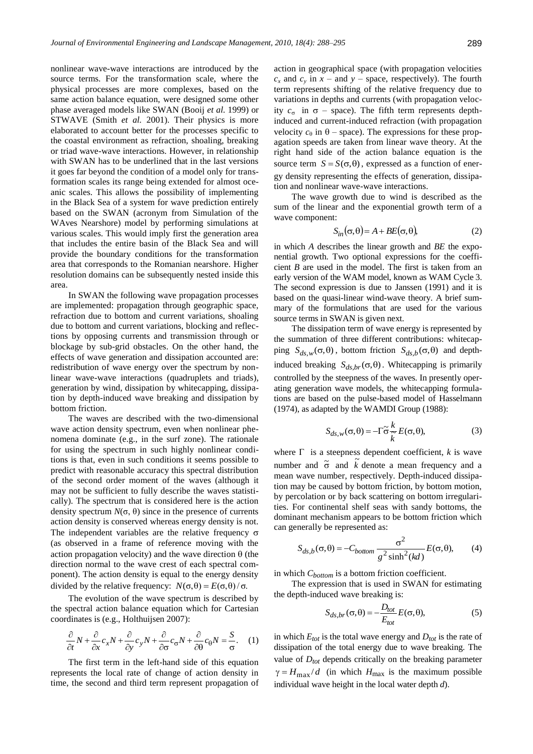nonlinear wave-wave interactions are introduced by the source terms. For the transformation scale, where the physical processes are more complexes, based on the same action balance equation, were designed some other phase averaged models like SWAN (Booij *et al.* 1999) or STWAVE (Smith *et al.* 2001). Their physics is more elaborated to account better for the processes specific to the coastal environment as refraction, shoaling, breaking or triad wave-wave interactions. However, in relationship with SWAN has to be underlined that in the last versions it goes far beyond the condition of a model only for transformation scales its range being extended for almost oceanic scales. This allows the possibility of implementing in the Black Sea of a system for wave prediction entirely based on the SWAN (acronym from Simulation of the WAves Nearshore) model by performing simulations at various scales. This would imply first the generation area that includes the entire basin of the Black Sea and will provide the boundary conditions for the transformation area that corresponds to the Romanian nearshore. Higher resolution domains can be subsequently nested inside this area.

In SWAN the following wave propagation processes are implemented: propagation through geographic space, refraction due to bottom and current variations, shoaling due to bottom and current variations, blocking and reflections by opposing currents and transmission through or blockage by sub-grid obstacles. On the other hand, the effects of wave generation and dissipation accounted are: redistribution of wave energy over the spectrum by nonlinear wave-wave interactions (quadruplets and triads), generation by wind, dissipation by whitecapping, dissipation by depth-induced wave breaking and dissipation by bottom friction.

The waves are described with the two-dimensional wave action density spectrum, even when nonlinear phenomena dominate (e.g., in the surf zone). The rationale for using the spectrum in such highly nonlinear conditions is that, even in such conditions it seems possible to predict with reasonable accuracy this spectral distribution of the second order moment of the waves (although it may not be sufficient to fully describe the waves statistically). The spectrum that is considered here is the action density spectrum  $N(σ, θ)$  since in the presence of currents action density is conserved whereas energy density is not. The independent variables are the relative frequency  $\sigma$ (as observed in a frame of reference moving with the action propagation velocity) and the wave direction  $\theta$  (the direction normal to the wave crest of each spectral component). The action density is equal to the energy density divided by the relative frequency:  $N(\sigma, \theta) = E(\sigma, \theta) / \sigma$ .

The evolution of the wave spectrum is described by the spectral action balance equation which for Cartesian coordinates is (e.g., Holthuijsen 2007):

$$
\frac{\partial}{\partial t}N + \frac{\partial}{\partial x}c_x N + \frac{\partial}{\partial y}c_y N + \frac{\partial}{\partial \sigma}c_{\sigma}N + \frac{\partial}{\partial \theta}c_{\theta}N = \frac{S}{\sigma}.
$$
 (1)

The first term in the left-hand side of this equation represents the local rate of change of action density in time, the second and third term represent propagation of action in geographical space (with propagation velocities  $c_x$  and  $c_y$  in  $x$  – and  $y$  – space, respectively). The fourth term represents shifting of the relative frequency due to variations in depths and currents (with propagation velocity  $c_{\sigma}$  in  $\sigma$  – space). The fifth term represents depthinduced and current-induced refraction (with propagation velocity  $c_{\theta}$  in  $\theta$  – space). The expressions for these propagation speeds are taken from linear wave theory. At the right hand side of the action balance equation is the source term  $S = S(\sigma, \theta)$ , expressed as a function of energy density representing the effects of generation, dissipation and nonlinear wave-wave interactions.

The wave growth due to wind is described as the sum of the linear and the exponential growth term of a wave component:

$$
S_{in}(\sigma,\theta) = A + BE(\sigma,\theta),\tag{2}
$$

in which *A* describes the linear growth and *BE* the exponential growth. Two optional expressions for the coefficient *B* are used in the model. The first is taken from an early version of the WAM model, known as WAM Cycle 3. The second expression is due to Janssen (1991) and it is based on the quasi-linear wind-wave theory. A brief summary of the formulations that are used for the various source terms in SWAN is given next.

The dissipation term of wave energy is represented by the summation of three different contributions: whitecapping  $S_{ds,w}(\sigma, \theta)$ , bottom friction  $S_{ds,b}(\sigma, \theta)$  and depthinduced breaking  $S_{ds,br}(\sigma, \theta)$ . White capping is primarily controlled by the steepness of the waves. In presently operating generation wave models, the whitecapping formulations are based on the pulse-based model of Hasselmann (1974), as adapted by the WAMDI Group (1988):

$$
S_{ds,w}(\sigma,\theta) = -\Gamma \tilde{\sigma} \frac{k}{\tilde{k}} E(\sigma,\theta), \tag{3}
$$

where  $\Gamma$  is a steepness dependent coefficient, *k* is wave number and  $\tilde{\sigma}$  and  $\tilde{k}$  denote a mean frequency and a mean wave number, respectively. Depth-induced dissipation may be caused by bottom friction, by bottom motion, by percolation or by back scattering on bottom irregularities. For continental shelf seas with sandy bottoms, the dominant mechanism appears to be bottom friction which can generally be represented as:

$$
S_{ds,b}(\sigma,\theta) = -C_{bottom} \frac{\sigma^2}{g^2 \sinh^2(kd)} E(\sigma,\theta), \qquad (4)
$$

in which *Cbottom* is a bottom friction coefficient.

The expression that is used in SWAN for estimating the depth-induced wave breaking is:

$$
S_{ds,br}(\sigma,\theta) = -\frac{D_{tot}}{E_{tot}} E(\sigma,\theta),
$$
 (5)

in which  $E_{tot}$  is the total wave energy and  $D_{tot}$  is the rate of dissipation of the total energy due to wave breaking. The value of *Dtot* depends critically on the breaking parameter  $\gamma = H_{\text{max}}/d$  (in which  $H_{\text{max}}$  is the maximum possible individual wave height in the local water depth *d*).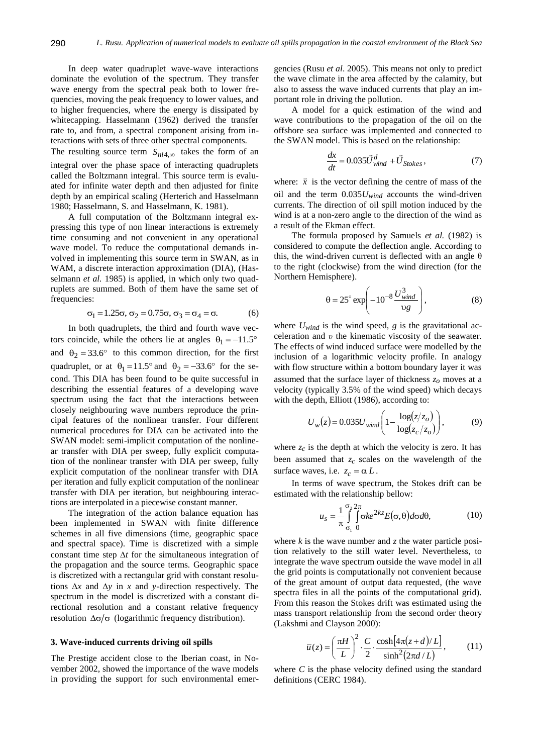In deep water quadruplet wave-wave interactions dominate the evolution of the spectrum. They transfer wave energy from the spectral peak both to lower frequencies, moving the peak frequency to lower values, and to higher frequencies, where the energy is dissipated by whitecapping. Hasselmann (1962) derived the transfer rate to, and from, a spectral component arising from interactions with sets of three other spectral components.

The resulting source term  $S_{nl4,\infty}$  takes the form of an integral over the phase space of interacting quadruplets called the Boltzmann integral. This source term is evaluated for infinite water depth and then adjusted for finite depth by an empirical scaling (Herterich and Hasselmann 1980; Hasselmann, S. and Hasselmann, K. 1981).

A full computation of the Boltzmann integral expressing this type of non linear interactions is extremely time consuming and not convenient in any operational wave model. To reduce the computational demands involved in implementing this source term in SWAN, as in WAM, a discrete interaction approximation (DIA), (Hasselmann *et al.* 1985) is applied, in which only two quadruplets are summed. Both of them have the same set of frequencies:

$$
\sigma_1 = 1.25\sigma, \sigma_2 = 0.75\sigma, \sigma_3 = \sigma_4 = \sigma.
$$
 (6)

In both quadruplets, the third and fourth wave vectors coincide, while the others lie at angles  $\theta_1 = -11.5^\circ$ and  $\theta_2 = 33.6^\circ$  to this common direction, for the first quadruplet, or at  $\theta_1 = 11.5^\circ$  and  $\theta_2 = -33.6^\circ$  for the second. This DIA has been found to be quite successful in describing the essential features of a developing wave spectrum using the fact that the interactions between closely neighbouring wave numbers reproduce the principal features of the nonlinear transfer. Four different numerical procedures for DIA can be activated into the SWAN model: semi-implicit computation of the nonlinear transfer with DIA per sweep, fully explicit computation of the nonlinear transfer with DIA per sweep, fully explicit computation of the nonlinear transfer with DIA per iteration and fully explicit computation of the nonlinear transfer with DIA per iteration, but neighbouring interactions are interpolated in a piecewise constant manner.

The integration of the action balance equation has been implemented in SWAN with finite difference schemes in all five dimensions (time, geographic space and spectral space). Time is discretized with a simple constant time step  $\Delta t$  for the simultaneous integration of the propagation and the source terms. Geographic space is discretized with a rectangular grid with constant resolutions  $\Delta x$  and  $\Delta y$  in *x* and *y*-direction respectively. The spectrum in the model is discretized with a constant directional resolution and a constant relative frequency resolution  $\Delta \sigma / \sigma$  (logarithmic frequency distribution).

#### **3. Wave-induced currents driving oil spills**

The Prestige accident close to the Iberian coast, in November 2002, showed the importance of the wave models in providing the support for such environmental emergencies (Rusu *et al*. 2005). This means not only to predict the wave climate in the area affected by the calamity, but also to assess the wave induced currents that play an important role in driving the pollution.

A model for a quick estimation of the wind and wave contributions to the propagation of the oil on the offshore sea surface was implemented and connected to the SWAN model. This is based on the relationship:

$$
\frac{dx}{dt} = 0.035\vec{U}_{wind}^d + \vec{U}_{Stokes},\tag{7}
$$

where:  $\vec{x}$  is the vector defining the centre of mass of the oil and the term 0.035*Uwind* accounts the wind-driven currents. The direction of oil spill motion induced by the wind is at a non-zero angle to the direction of the wind as a result of the Ekman effect.

The formula proposed by Samuels *et al.* (1982) is considered to compute the deflection angle. According to this, the wind-driven current is deflected with an angle  $\theta$ to the right (clockwise) from the wind direction (for the Northern Hemisphere).

$$
\theta = 25^\circ \exp\left(-10^{-8} \frac{U_{wind}^3}{\nu g}\right),\tag{8}
$$

where  $U_{wind}$  is the wind speed,  $g$  is the gravitational acceleration and *υ* the kinematic viscosity of the seawater. The effects of wind induced surface were modelled by the inclusion of a logarithmic velocity profile. In analogy with flow structure within a bottom boundary layer it was assumed that the surface layer of thickness *zo* moves at a velocity (typically 3.5% of the wind speed) which decays with the depth, Elliott (1986), according to:

$$
U_{w}(z) = 0.035U_{wind} \left( 1 - \frac{\log(z/z_{o})}{\log(z_{c}/z_{o})} \right),
$$
 (9)

where  $z_c$  is the depth at which the velocity is zero. It has been assumed that *zc* scales on the wavelength of the surface waves, i.e.  $z_c = \alpha L$ .

In terms of wave spectrum, the Stokes drift can be estimated with the relationship bellow:

$$
u_s = \frac{1}{\pi} \int_{\sigma_1}^{\sigma_2} \int_{0}^{\pi} \sigma k e^{2kz} E(\sigma, \theta) d\sigma d\theta, \qquad (10)
$$

where *k* is the wave number and *z* the water particle position relatively to the still water level. Nevertheless, to integrate the wave spectrum outside the wave model in all the grid points is computationally not convenient because of the great amount of output data requested, (the wave spectra files in all the points of the computational grid). From this reason the Stokes drift was estimated using the mass transport relationship from the second order theory (Lakshmi and Clayson 2000):

$$
\overline{u}(z) = \left(\frac{\pi H}{L}\right)^2 \cdot \frac{C}{2} \cdot \frac{\cosh[4\pi(z+d)/L]}{\sinh^2(2\pi d/L)},\tag{11}
$$

where *C* is the phase velocity defined using the standard definitions (CERC 1984).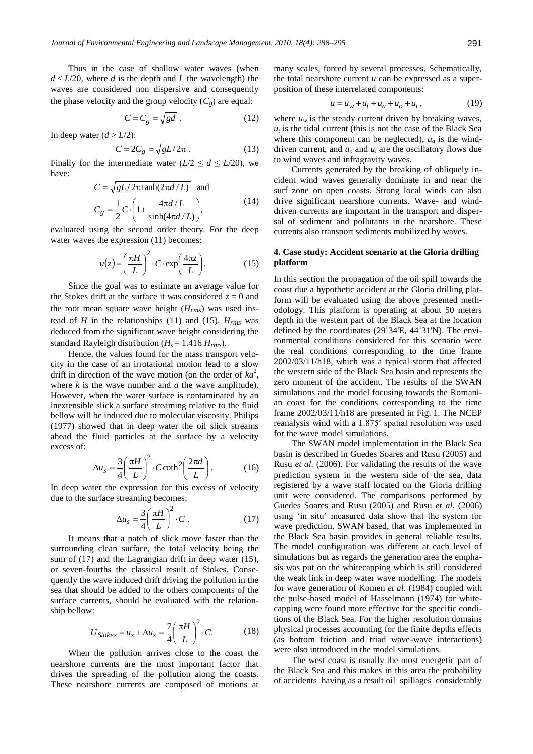Thus in the case of shallow water waves (when  $d < L/20$ , where *d* is the depth and *L* the wavelength) the waves are considered non dispersive and consequently the phase velocity and the group velocity  $(C_g)$  are equal:

$$
C = C_g = \sqrt{gd} \tag{12}
$$

In deep water  $(d > L/2)$ :

$$
C = 2C_g = \sqrt{gL/2\pi} \,. \tag{13}
$$

Finally for the intermediate water  $(L/2 \leq d \leq L/20)$ , we have:

$$
C = \sqrt{gL/2\pi \tanh(2\pi d/L)} \text{ and}
$$
  
\n
$$
C_g = \frac{1}{2}C \cdot \left(1 + \frac{4\pi d/L}{\sinh(4\pi d/L)}\right),
$$
\n(14)

evaluated using the second order theory. For the deep water waves the expression  $(11)$  becomes:

$$
u(z) = \left(\frac{\pi H}{L}\right)^2 \cdot C \cdot \exp\left(\frac{4\pi z}{L}\right). \tag{15}
$$

Since the goal was to estimate an average value for the Stokes drift at the surface it was considered  $z = 0$  and the root mean square wave height (*Hrms*) was used instead of *H* in the relationships (11) and (15).  $H_{rms}$  was deduced from the significant wave height considering the standard Rayleigh distribution ( $H_s = 1.416$   $H_{rms}$ ).

Hence, the values found for the mass transport velocity in the case of an irrotational motion lead to a slow drift in direction of the wave motion (on the order of  $ka^2$ , where  $k$  is the wave number and  $a$  the wave amplitude). However, when the water surface is contaminated by an inextensible slick a surface streaming relative to the fluid bellow will be induced due to molecular viscosity. Philips (1977) showed that in deep water the oil slick streams ahead the fluid particles at the surface by a velocity excess of:

$$
\Delta u_s = \frac{3}{4} \left( \frac{\pi H}{L} \right)^2 \cdot C \coth^2 \left( \frac{2\pi d}{L} \right). \tag{16}
$$

In deep water the expression for this excess of velocity due to the surface streaming becomes:

$$
\Delta u_s = \frac{3}{4} \left( \frac{\pi H}{L} \right)^2 \cdot C \,. \tag{17}
$$

It means that a patch of slick move faster than the surrounding clean surface, the total velocity being the sum of (17) and the Lagrangian drift in deep water (15), or seven-fourths the classical result of Stokes. Consequently the wave induced drift driving the pollution in the sea that should be added to the others components of the surface currents, should be evaluated with the relationship bellow:

$$
U_{Stokes} = u_s + \Delta u_s = \frac{7}{4} \left(\frac{\pi H}{L}\right)^2 \cdot C. \tag{18}
$$

When the pollution arrives close to the coast the nearshore currents are the most important factor that drives the spreading of the pollution along the coasts. These nearshore currents are composed of motions at many scales, forced by several processes. Schematically, the total nearshore current *u* can be expressed as a superposition of these interrelated components:

$$
u = u_w + u_t + u_a + u_b + u_i, \qquad (19)
$$

where  $u_w$  is the steady current driven by breaking waves,  $u_t$  is the tidal current (this is not the case of the Black Sea where this component can be neglected),  $u_a$  is the winddriven current, and  $u_0$  and  $u_i$  are the oscillatory flows due to wind waves and infragravity waves.

Currents generated by the breaking of obliquely incident wind waves generally dominate in and near the surf zone on open coasts. Strong local winds can also drive significant nearshore currents. Wave- and winddriven currents are important in the transport and dispersal of sediment and pollutants in the nearshore. These currents also transport sediments mobilized by waves.

# **4. Case study: Accident scenario at the Gloria drilling platform**

In this section the propagation of the oil spill towards the coast due a hypothetic accident at the Gloria drilling platform will be evaluated using the above presented methodology. This platform is operating at about 50 meters depth in the western part of the Black Sea at the location defined by the coordinates (29°34'E, 44°31'N). The environmental conditions considered for this scenario were the real conditions corresponding to the time frame 2002/03/11/h18, which was a typical storm that affected the western side of the Black Sea basin and represents the zero moment of the accident. The results of the SWAN simulations and the model focusing towards the Romanian coast for the conditions corresponding to the time frame 2002/03/11/h18 are presented in Fig. 1. The NCEP reanalysis wind with a 1.875º spatial resolution was used for the wave model simulations.

The SWAN model implementation in the Black Sea basin is described in Guedes Soares and Rusu (2005) and Rusu *et al.* (2006). For validating the results of the wave prediction system in the western side of the sea, data registered by a wave staff located on the Gloria drilling unit were considered. The comparisons performed by Guedes Soares and Rusu (2005) and Rusu *et al.* (2006) using 'in situ' measured data show that the system for wave prediction, SWAN based, that was implemented in the Black Sea basin provides in general reliable results. The model configuration was different at each level of simulations but as regards the generation area the emphasis was put on the whitecapping which is still considered the weak link in deep water wave modelling. The models for wave generation of Komen *et al.* (1984) coupled with the pulse-based model of Hasselmann (1974) for whitecapping were found more effective for the specific conditions of the Black Sea. For the higher resolution domains physical processes accounting for the finite depths effects (as bottom friction and triad wave-wave interactions) were also introduced in the model simulations.

The west coast is usually the most energetic part of the Black Sea and this makes in this area the probability of accidents having as a result oil spillages considerably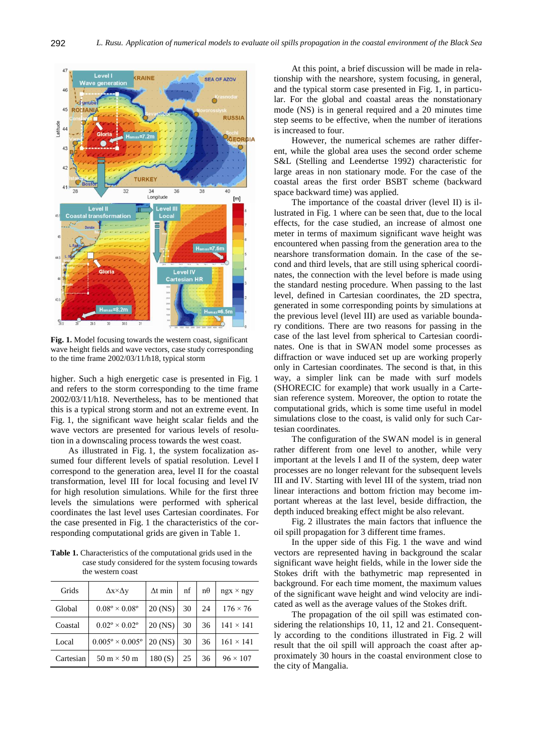

**Fig. 1.** Model focusing towards the western coast, significant wave height fields and wave vectors, case study corresponding to the time frame 2002/03/11/h18, typical storm

higher. Such a high energetic case is presented in Fig. 1 and refers to the storm corresponding to the time frame 2002/03/11/h18. Nevertheless, has to be mentioned that this is a typical strong storm and not an extreme event. In Fig. 1, the significant wave height scalar fields and the wave vectors are presented for various levels of resolution in a downscaling process towards the west coast.

As illustrated in Fig. 1, the system focalization assumed four different levels of spatial resolution. Level I correspond to the generation area, level II for the coastal transformation, level III for local focusing and level IV for high resolution simulations. While for the first three levels the simulations were performed with spherical coordinates the last level uses Cartesian coordinates. For the case presented in Fig. 1 the characteristics of the corresponding computational grids are given in Table 1.

**Table 1.** Characteristics of the computational grids used in the case study considered for the system focusing towards the western coast

| Grids     | $\Delta x \times \Delta y$           | $\Delta t$ min | nf | nθ | $ngx \times ngy$ |
|-----------|--------------------------------------|----------------|----|----|------------------|
| Global    | $0.08^{\circ} \times 0.08^{\circ}$   | 20 (NS)        | 30 | 24 | $176 \times 76$  |
| Coastal   | $0.02^{\circ} \times 0.02^{\circ}$   | 20 (NS)        | 30 | 36 | $141 \times 141$ |
| Local     | $0.005^{\circ} \times 0.005^{\circ}$ | 20 (NS)        | 30 | 36 | $161 \times 141$ |
| Cartesian | $50 \text{ m} \times 50 \text{ m}$   | 180(S)         | 25 | 36 | $96 \times 107$  |

At this point, a brief discussion will be made in relationship with the nearshore, system focusing, in general, and the typical storm case presented in Fig. 1, in particular. For the global and coastal areas the nonstationary mode (NS) is in general required and a 20 minutes time step seems to be effective, when the number of iterations is increased to four.

However, the numerical schemes are rather different, while the global area uses the second order scheme S&L (Stelling and Leendertse 1992) characteristic for large areas in non stationary mode. For the case of the coastal areas the first order BSBT scheme (backward space backward time) was applied.

The importance of the coastal driver (level II) is illustrated in Fig. 1 where can be seen that, due to the local effects, for the case studied, an increase of almost one meter in terms of maximum significant wave height was encountered when passing from the generation area to the nearshore transformation domain. In the case of the second and third levels, that are still using spherical coordinates, the connection with the level before is made using the standard nesting procedure. When passing to the last level, defined in Cartesian coordinates, the 2D spectra, generated in some corresponding points by simulations at the previous level (level III) are used as variable boundary conditions. There are two reasons for passing in the case of the last level from spherical to Cartesian coordinates. One is that in SWAN model some processes as diffraction or wave induced set up are working properly only in Cartesian coordinates. The second is that, in this way, a simpler link can be made with surf models (SHORECIC for example) that work usually in a Cartesian reference system. Moreover, the option to rotate the computational grids, which is some time useful in model simulations close to the coast, is valid only for such Cartesian coordinates.

The configuration of the SWAN model is in general rather different from one level to another, while very important at the levels I and II of the system, deep water processes are no longer relevant for the subsequent levels III and IV. Starting with level III of the system, triad non linear interactions and bottom friction may become important whereas at the last level, beside diffraction, the depth induced breaking effect might be also relevant.

Fig. 2 illustrates the main factors that influence the oil spill propagation for 3 different time frames.

In the upper side of this Fig. 1 the wave and wind vectors are represented having in background the scalar significant wave height fields, while in the lower side the Stokes drift with the bathymetric map represented in background. For each time moment, the maximum values of the significant wave height and wind velocity are indicated as well as the average values of the Stokes drift.

The propagation of the oil spill was estimated considering the relationships 10, 11, 12 and 21. Consequently according to the conditions illustrated in Fig. 2 will result that the oil spill will approach the coast after approximately 30 hours in the coastal environment close to the city of Mangalia.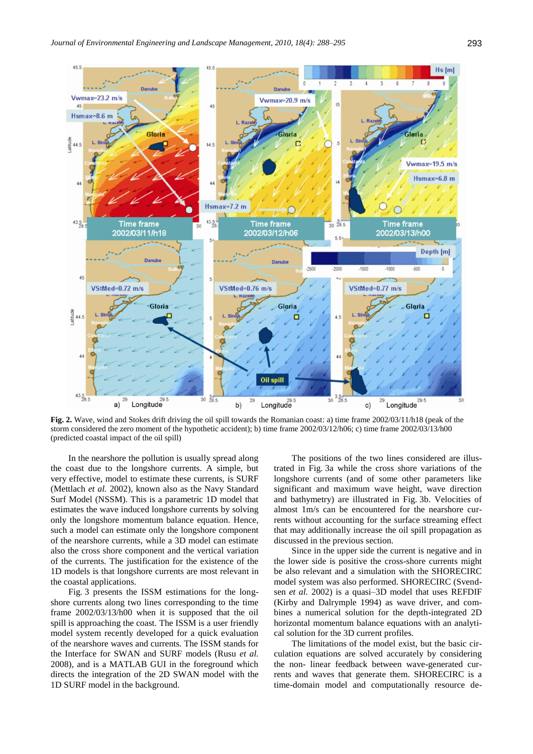

**Fig. 2.** Wave, wind and Stokes drift driving the oil spill towards the Romanian coast: a) time frame 2002/03/11/h18 (peak of the storm considered the zero moment of the hypothetic accident); b) time frame 2002/03/12/h06; c) time frame 2002/03/13/h00 (predicted coastal impact of the oil spill)

In the nearshore the pollution is usually spread along the coast due to the longshore currents. A simple, but very effective, model to estimate these currents, is SURF (Mettlach *et al.* 2002), known also as the Navy Standard Surf Model (NSSM). This is a parametric 1D model that estimates the wave induced longshore currents by solving only the longshore momentum balance equation. Hence, such a model can estimate only the longshore component of the nearshore currents, while a 3D model can estimate also the cross shore component and the vertical variation of the currents. The justification for the existence of the 1D models is that longshore currents are most relevant in the coastal applications.

Fig. 3 presents the ISSM estimations for the longshore currents along two lines corresponding to the time frame 2002/03/13/h00 when it is supposed that the oil spill is approaching the coast. The ISSM is a user friendly model system recently developed for a quick evaluation of the nearshore waves and currents. The ISSM stands for the Interface for SWAN and SURF models (Rusu *et al.*  2008), and is a MATLAB GUI in the foreground which directs the integration of the 2D SWAN model with the 1D SURF model in the background.

The positions of the two lines considered are illustrated in Fig. 3a while the cross shore variations of the longshore currents (and of some other parameters like significant and maximum wave height, wave direction and bathymetry) are illustrated in Fig. 3b. Velocities of almost 1m/s can be encountered for the nearshore currents without accounting for the surface streaming effect that may additionally increase the oil spill propagation as discussed in the previous section.

Since in the upper side the current is negative and in the lower side is positive the cross-shore currents might be also relevant and a simulation with the SHORECIRC model system was also performed. SHORECIRC (Svendsen *et al.* 2002) is a quasi–3D model that uses REFDIF (Kirby and Dalrymple 1994) as wave driver, and combines a numerical solution for the depth-integrated 2D horizontal momentum balance equations with an analytical solution for the 3D current profiles.

The limitations of the model exist, but the basic circulation equations are solved accurately by considering the non- linear feedback between wave-generated currents and waves that generate them. SHORECIRC is a time-domain model and computationally resource de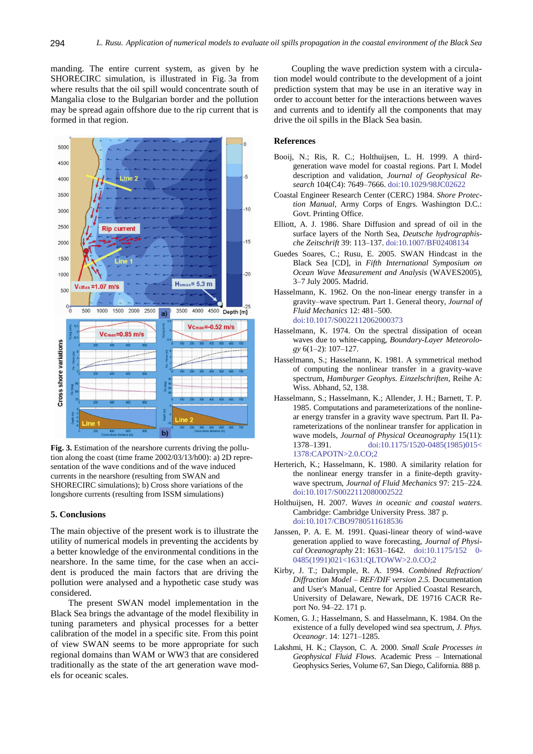manding. The entire current system, as given by he SHORECIRC simulation, is illustrated in Fig. 3a from where results that the oil spill would concentrate south of Mangalia close to the Bulgarian border and the pollution may be spread again offshore due to the rip current that is formed in that region.



**Fig. 3.** Estimation of the nearshore currents driving the pollution along the coast (time frame 2002/03/13/h00): a) 2D representation of the wave conditions and of the wave induced currents in the nearshore (resulting from SWAN and SHORECIRC simulations); b) Cross shore variations of the longshore currents (resulting from ISSM simulations)

#### **5. Conclusions**

The main objective of the present work is to illustrate the utility of numerical models in preventing the accidents by a better knowledge of the environmental conditions in the nearshore. In the same time, for the case when an accident is produced the main factors that are driving the pollution were analysed and a hypothetic case study was considered.

The present SWAN model implementation in the Black Sea brings the advantage of the model flexibility in tuning parameters and physical processes for a better calibration of the model in a specific site. From this point of view SWAN seems to be more appropriate for such regional domains than WAM or WW3 that are considered traditionally as the state of the art generation wave models for oceanic scales.

Coupling the wave prediction system with a circulation model would contribute to the development of a joint prediction system that may be use in an iterative way in order to account better for the interactions between waves and currents and to identify all the components that may drive the oil spills in the Black Sea basin.

#### **References**

- Booij, N.; Ris, R. C.; Holthuijsen, L. H. 1999. A thirdgeneration wave model for coastal regions. Part I. Model description and validation, *Journal of Geophysical Research* 104(C4): 7649–7666[. doi:10.1029/98JC02622](http://dx.doi.org/10.1029/98JC02622)
- Coastal Engineer Research Center (CERC) 1984. *Shore Protection Manual*, Army Corps of Engrs. Washington D.C.: Govt. Printing Office.
- Elliott, A. J. 1986. Share Diffusion and spread of oil in the surface layers of the North Sea, *Deutsche hydrographische Zeitschrift* 39: 113–137[. doi:10.1007/BF02408134](http://dx.doi.org/10.1007/BF02408134)
- Guedes Soares, C.; Rusu, E. 2005. SWAN Hindcast in the Black Sea [CD], in *Fifth International Symposium on Ocean Wave Measurement and Analysis* (WAVES2005), 3–7 July 2005. Madrid.
- Hasselmann, K. 1962. On the non-linear energy transfer in a gravity–wave spectrum. Part 1. General theory, *Journal of Fluid Mechanics* 12: 481–500. [doi:10.1017/S0022112062000373](http://dx.doi.org/10.1017/S0022112062000373)
- Hasselmann, K. 1974. On the spectral dissipation of ocean waves due to white-capping, *Boundary*-*Layer Meteorology* 6(1–2): 107–127.
- Hasselmann, S.; Hasselmann, K. 1981. A symmetrical method of computing the nonlinear transfer in a gravity-wave spectrum, *Hamburger Geophys. Einzelschriften*, Reihe A: Wiss. Abhand, 52, 138.
- Hasselmann, S.; Hasselmann, K.; Allender, J. H.; Barnett, T. P. 1985. Computations and parameterizations of the nonlinear energy transfer in a gravity wave spectrum. Part II. Parameterizations of the nonlinear transfer for application in wave models, *Journal of Physical Oceanography* 15(11): 1378–1391. [doi:10.1175/1520-0485\(1985\)015<](http://dx.doi.org/10.1175/1520-0485(1985)015%3c1378:CAPOTN%3e2.0.CO;2) [1378:CAPOTN>2.0.CO;2](http://dx.doi.org/10.1175/1520-0485(1985)015%3c1378:CAPOTN%3e2.0.CO;2)
- Herterich, K.; Hasselmann, K. 1980. A similarity relation for the nonlinear energy transfer in a finite-depth gravitywave spectrum, *Journal of Fluid Mechanics* 97: 215–224. [doi:10.1017/S0022112080002522](http://dx.doi.org/10.1017/S0022112080002522)
- Holthuijsen, H. 2007. *Waves in oceanic and coastal waters*. Cambridge: Cambridge University Press. 387 p. [doi:10.1017/CBO9780511618536](http://dx.doi.org/10.1017/CBO9780511618536)
- Janssen, P. A. E. M. 1991. Quasi-linear theory of wind-wave generation applied to wave forecasting, *Journal of Physical Oceanography* 21: 1631–1642. [doi:10.1175/152 0-](http://dx.doi.org/10.1175/1520-0485(1991)021%3c1631:QLTOWW%3e2.0.CO;2) [0485\(1991\)021<1631:QLTOWW>2.0.CO;2](http://dx.doi.org/10.1175/1520-0485(1991)021%3c1631:QLTOWW%3e2.0.CO;2)
- Kirby, J. T.; Dalrymple, R. A. 1994. *Combined Refraction/ Diffraction Model* – *REF/DIF version 2.5.* Documentation and User's Manual, Centre for Applied Coastal Research, University of Delaware, Newark, DE 19716 CACR Report No. 94–22. 171 p.
- Komen, G. J.; Hasselmann, S. and Hasselmann, K. 1984. On the existence of a fully developed wind sea spectrum, *J. Phys. Oceanogr*. 14: 1271–1285.
- Lakshmi, H. K.; Clayson, C. A. 2000. *Small Scale Processes in Geophysical Fluid Flows*. Academic Press – International Geophysics Series, Volume 67, San Diego, California. 888 p.